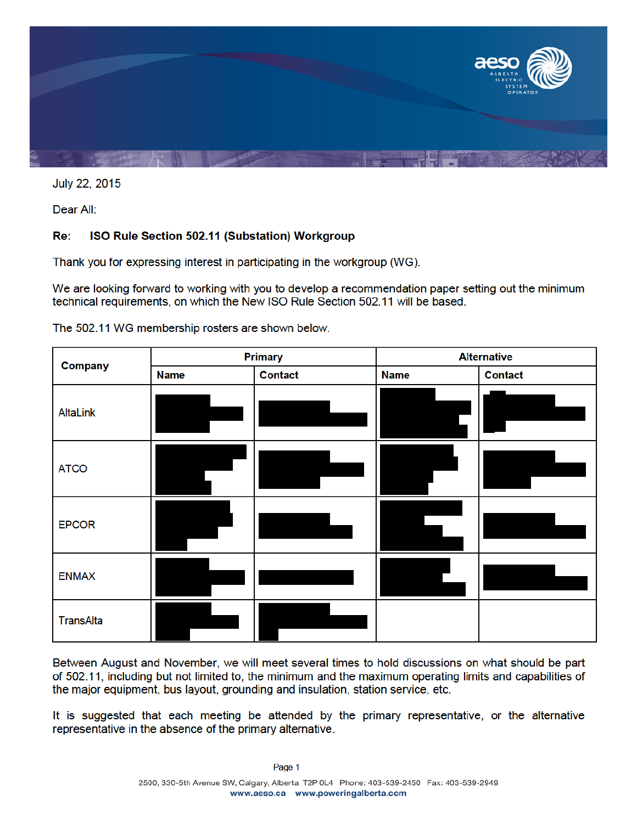

July 22, 2015

Dear All:

#### Re: ISO Rule Section 502.11 (Substation) Workgroup

Thank you for expressing interest in participating in the workgroup (WG).

We are looking forward to working with you to develop a recommendation paper setting out the minimum technical requirements, on which the New ISO Rule Section 502.11 will be based.

| <b>Company</b>   | <b>Primary</b> |                | <b>Alternative</b> |                |
|------------------|----------------|----------------|--------------------|----------------|
|                  | <b>Name</b>    | <b>Contact</b> | <b>Name</b>        | <b>Contact</b> |
| AltaLink         |                |                |                    |                |
| <b>ATCO</b>      |                |                |                    |                |
| <b>EPCOR</b>     |                |                |                    |                |
| <b>ENMAX</b>     |                |                |                    |                |
| <b>TransAlta</b> |                |                |                    |                |

The 502.11 WG membership rosters are shown below.

Between August and November, we will meet several times to hold discussions on what should be part of 502.11, including but not limited to, the minimum and the maximum operating limits and capabilities of the major equipment, bus layout, grounding and insulation, station service, etc.

It is suggested that each meeting be attended by the primary representative, or the alternative representative in the absence of the primary alternative.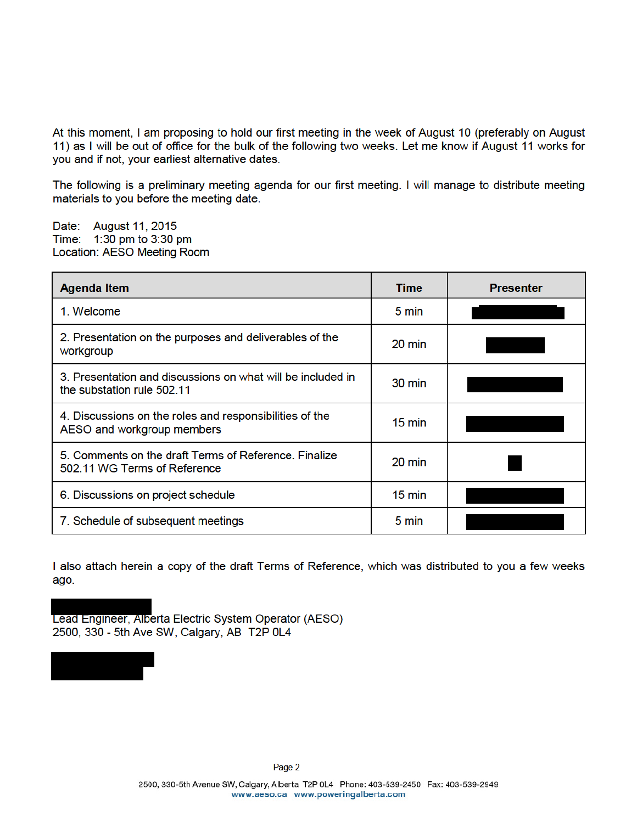At this moment, I am proposing to hold our first meeting in the week of August 10 (preferably on August 11) as I will be out of office for the bulk of the following two weeks. Let me know if August 11 works for you and if not, your earliest alternative dates.

The following is a preliminary meeting agenda for our first meeting. I will manage to distribute meeting materials to you before the meeting date.

Date: August 11, 2015 Time: 1:30 pm to 3:30 pm Location: AESO Meeting Room

| <b>Agenda Item</b>                                                                        | Time             | <b>Presenter</b> |
|-------------------------------------------------------------------------------------------|------------------|------------------|
| 1. Welcome                                                                                | 5 min            |                  |
| 2. Presentation on the purposes and deliverables of the<br>workgroup                      | $20 \text{ min}$ |                  |
| 3. Presentation and discussions on what will be included in<br>the substation rule 502.11 | 30 min           |                  |
| 4. Discussions on the roles and responsibilities of the<br>AESO and workgroup members     | $15 \text{ min}$ |                  |
| 5. Comments on the draft Terms of Reference. Finalize<br>502.11 WG Terms of Reference     | 20 min           |                  |
| 6. Discussions on project schedule                                                        | $15 \text{ min}$ |                  |
| 7. Schedule of subsequent meetings                                                        | 5 min            |                  |

I also attach herein a copy of the draft Terms of Reference, which was distributed to you a few weeks ago.



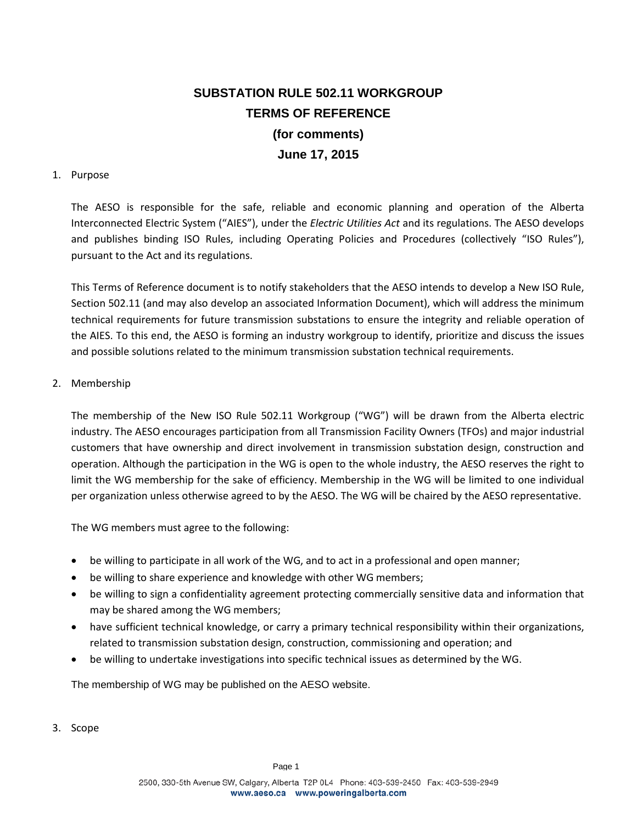# **SUBSTATION RULE 502.11 WORKGROUP TERMS OF REFERENCE (for comments) June 17, 2015**

### 1. Purpose

The AESO is responsible for the safe, reliable and economic planning and operation of the Alberta Interconnected Electric System ("AIES"), under the *Electric Utilities Act* and its regulations. The AESO develops and publishes binding ISO Rules, including Operating Policies and Procedures (collectively "ISO Rules"), pursuant to the Act and its regulations.

This Terms of Reference document is to notify stakeholders that the AESO intends to develop a New ISO Rule, Section 502.11 (and may also develop an associated Information Document), which will address the minimum technical requirements for future transmission substations to ensure the integrity and reliable operation of the AIES. To this end, the AESO is forming an industry workgroup to identify, prioritize and discuss the issues and possible solutions related to the minimum transmission substation technical requirements.

#### 2. Membership

The membership of the New ISO Rule 502.11 Workgroup ("WG") will be drawn from the Alberta electric industry. The AESO encourages participation from all Transmission Facility Owners (TFOs) and major industrial customers that have ownership and direct involvement in transmission substation design, construction and operation. Although the participation in the WG is open to the whole industry, the AESO reserves the right to limit the WG membership for the sake of efficiency. Membership in the WG will be limited to one individual per organization unless otherwise agreed to by the AESO. The WG will be chaired by the AESO representative.

The WG members must agree to the following:

- be willing to participate in all work of the WG, and to act in a professional and open manner;
- be willing to share experience and knowledge with other WG members;
- be willing to sign a confidentiality agreement protecting commercially sensitive data and information that may be shared among the WG members;
- have sufficient technical knowledge, or carry a primary technical responsibility within their organizations, related to transmission substation design, construction, commissioning and operation; and
- be willing to undertake investigations into specific technical issues as determined by the WG.

The membership of WG may be published on the AESO website.

3. Scope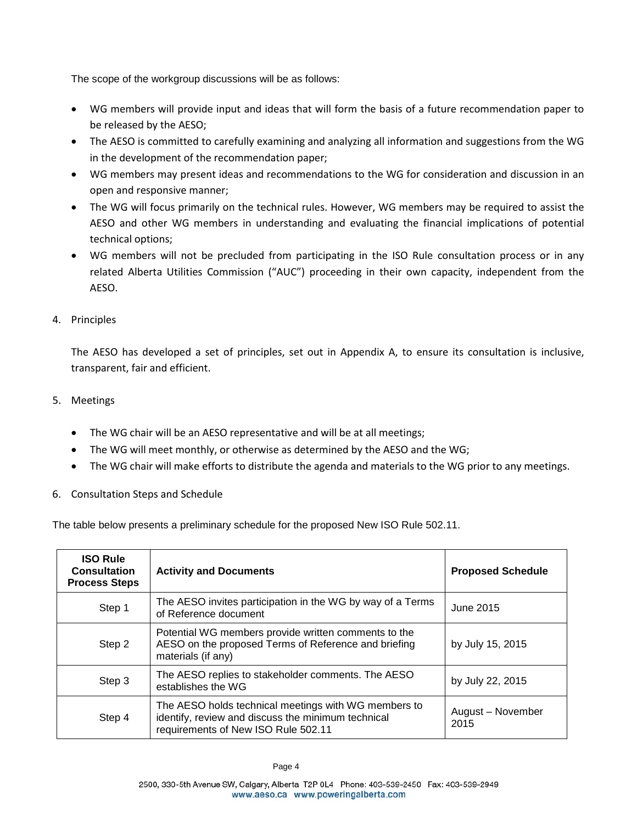The scope of the workgroup discussions will be as follows:

- WG members will provide input and ideas that will form the basis of a future recommendation paper to be released by the AESO;
- The AESO is committed to carefully examining and analyzing all information and suggestions from the WG in the development of the recommendation paper;
- WG members may present ideas and recommendations to the WG for consideration and discussion in an open and responsive manner;
- The WG will focus primarily on the technical rules. However, WG members may be required to assist the AESO and other WG members in understanding and evaluating the financial implications of potential technical options;
- WG members will not be precluded from participating in the ISO Rule consultation process or in any related Alberta Utilities Commission ("AUC") proceeding in their own capacity, independent from the AESO.
- 4. Principles

The AESO has developed a set of principles, set out in Appendix A, to ensure its consultation is inclusive, transparent, fair and efficient.

- 5. Meetings
	- The WG chair will be an AESO representative and will be at all meetings;
	- The WG will meet monthly, or otherwise as determined by the AESO and the WG;
	- The WG chair will make efforts to distribute the agenda and materials to the WG prior to any meetings.
- 6. Consultation Steps and Schedule

The table below presents a preliminary schedule for the proposed New ISO Rule 502.11.

| <b>ISO Rule</b><br><b>Consultation</b><br><b>Process Steps</b> | <b>Activity and Documents</b>                                                                                                                     | <b>Proposed Schedule</b>  |
|----------------------------------------------------------------|---------------------------------------------------------------------------------------------------------------------------------------------------|---------------------------|
| Step 1                                                         | The AESO invites participation in the WG by way of a Terms<br>of Reference document                                                               | June 2015                 |
| Step 2                                                         | Potential WG members provide written comments to the<br>AESO on the proposed Terms of Reference and briefing<br>materials (if any)                | by July 15, 2015          |
| Step 3                                                         | The AESO replies to stakeholder comments. The AESO<br>establishes the WG                                                                          | by July 22, 2015          |
| Step 4                                                         | The AESO holds technical meetings with WG members to<br>identify, review and discuss the minimum technical<br>requirements of New ISO Rule 502.11 | August - November<br>2015 |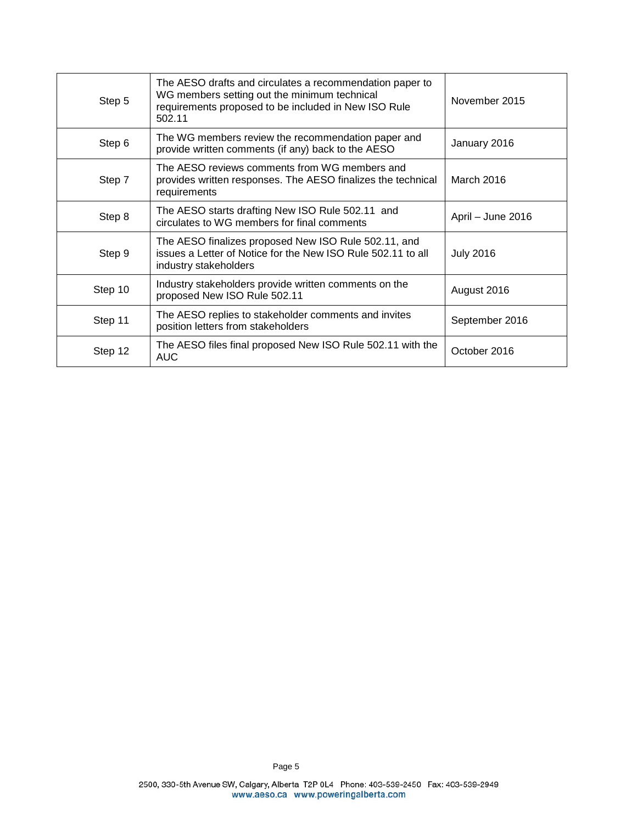| Step 5  | The AESO drafts and circulates a recommendation paper to<br>WG members setting out the minimum technical<br>requirements proposed to be included in New ISO Rule<br>502.11 | November 2015     |
|---------|----------------------------------------------------------------------------------------------------------------------------------------------------------------------------|-------------------|
| Step 6  | The WG members review the recommendation paper and<br>provide written comments (if any) back to the AESO                                                                   | January 2016      |
| Step 7  | The AESO reviews comments from WG members and<br>provides written responses. The AESO finalizes the technical<br>requirements                                              | March 2016        |
| Step 8  | The AESO starts drafting New ISO Rule 502.11 and<br>circulates to WG members for final comments                                                                            | April - June 2016 |
| Step 9  | The AESO finalizes proposed New ISO Rule 502.11, and<br>issues a Letter of Notice for the New ISO Rule 502.11 to all<br>industry stakeholders                              | <b>July 2016</b>  |
| Step 10 | Industry stakeholders provide written comments on the<br>proposed New ISO Rule 502.11                                                                                      | August 2016       |
| Step 11 | The AESO replies to stakeholder comments and invites<br>position letters from stakeholders                                                                                 | September 2016    |
| Step 12 | The AESO files final proposed New ISO Rule 502.11 with the<br><b>AUC</b>                                                                                                   | October 2016      |